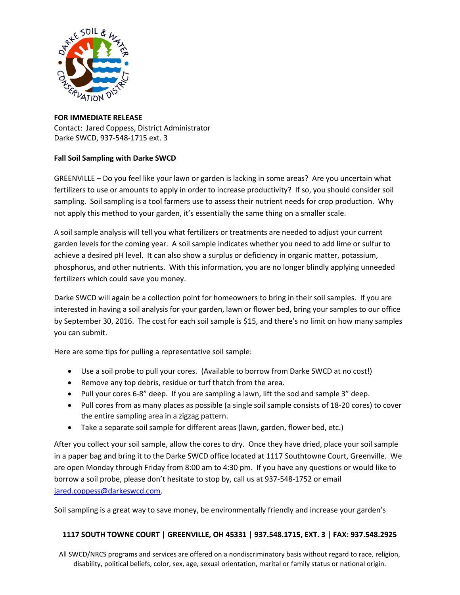

## **FOR IMMEDIATE RELEASE** Contact: Jared Coppess, District Administrator Darke SWCD, 937-548-1715 ext. 3

## **Fall Soil Sampling with Darke SWCD**

GREENVILLE – Do you feel like your lawn or garden is lacking in some areas? Are you uncertain what fertilizers to use or amounts to apply in order to increase productivity? If so, you should consider soil sampling. Soil sampling is a tool farmers use to assess their nutrient needs for crop production. Why not apply this method to your garden, it's essentially the same thing on a smaller scale.

A soil sample analysis will tell you what fertilizers or treatments are needed to adjust your current garden levels for the coming year. A soil sample indicates whether you need to add lime or sulfur to achieve a desired pH level. It can also show a surplus or deficiency in organic matter, potassium, phosphorus, and other nutrients. With this information, you are no longer blindly applying unneeded fertilizers which could save you money.

Darke SWCD will again be a collection point for homeowners to bring in their soil samples. If you are interested in having a soil analysis for your garden, lawn or flower bed, bring your samples to our office by September 30, 2016. The cost for each soil sample is \$15, and there's no limit on how many samples you can submit.

Here are some tips for pulling a representative soil sample:

- Use a soil probe to pull your cores. (Available to borrow from Darke SWCD at no cost!)
- Remove any top debris, residue or turf thatch from the area.
- Pull your cores 6-8" deep. If you are sampling a lawn, lift the sod and sample 3" deep.
- Pull cores from as many places as possible (a single soil sample consists of 18-20 cores) to cover the entire sampling area in a zigzag pattern.
- Take a separate soil sample for different areas (lawn, garden, flower bed, etc.)

After you collect your soil sample, allow the cores to dry. Once they have dried, place your soil sample in a paper bag and bring it to the Darke SWCD office located at 1117 Southtowne Court, Greenville. We are open Monday through Friday from 8:00 am to 4:30 pm. If you have any questions or would like to borrow a soil probe, please don't hesitate to stop by, call us at 937-548-1752 or email [jared.coppess@darkeswcd.com.](mailto:jared.coppess@darkeswcd.com)

Soil sampling is a great way to save money, be environmentally friendly and increase your garden's

## **1117 SOUTH TOWNE COURT | GREENVILLE, OH 45331 | 937.548.1715, EXT. 3 | FAX: 937.548.2925**

All SWCD/NRCS programs and services are offered on a nondiscriminatory basis without regard to race, religion, disability, political beliefs, color, sex, age, sexual orientation, marital or family status or national origin.